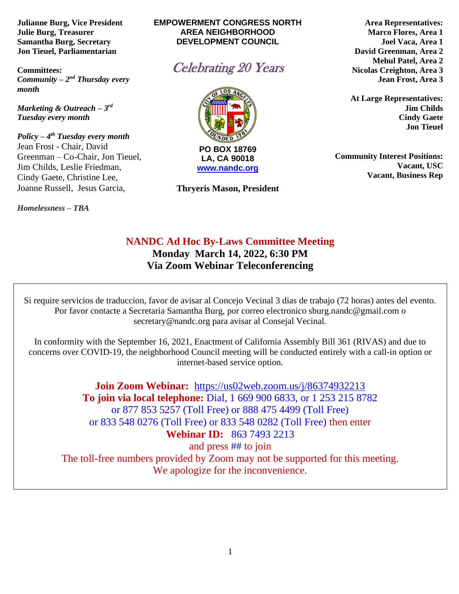**Julianne Burg, Vice President Julie Burg, Treasurer Samantha Burg, Secretary Jon Tieuel, Parliamentarian**

**Committees:**  *Community – 2<sup>nd</sup> Thursday every month* 

*Marketing & Outreach – 3 rd Tuesday every month*

*Policy – 4 th Tuesday every month*  Jean Frost - Chair, David Greenman – Co-Chair, Jon Tieuel, Jim Childs, Leslie Friedman, Cindy Gaete, Christine Lee, Joanne Russell, Jesus Garcia,

*Homelessness* **–** *TBA*

#### **EMPOWERMENT CONGRESS NORTH AREA NEIGHBORHOOD DEVELOPMENT COUNCIL**





**Thryeris Mason, President**

**Area Representatives: Marco Flores, Area 1 Joel Vaca, Area 1 David Greenman, Area 2 Mehul Patel, Area 2 Nicolas Creighton, Area 3 Jean Frost, Area 3**

**At Large Representatives: Jim Childs Cindy Gaete Jon Tieuel**

**Community Interest Positions: Vacant, USC Vacant, Business Rep**

# **NANDC Ad Hoc By-Laws Committee Meeting Monday March 14, 2022, 6:30 PM Via Zoom Webinar Teleconferencing**

Si require servicios de traduccion, favor de avisar al Concejo Vecinal 3 dias de trabajo (72 horas) antes del evento. Por favor contacte a Secretaria Samantha Burg, por correo electronico sburg.nandc@gmail.com o secretary@nandc.org para avisar al Consejal Vecinal.

In conformity with the September 16, 2021, Enactment of California Assembly Bill 361 (RIVAS) and due to concerns over COVID-19, the neighborhood Council meeting will be conducted entirely with a call-in option or internet-based service option.

**Join Zoom Webinar:** <https://us02web.zoom.us/j/86374932213> **To join via local telephone:** Dial, 1 669 900 6833, or 1 253 215 8782 or 877 853 5257 (Toll Free) or 888 475 4499 (Toll Free) or 833 548 0276 (Toll Free) or 833 548 0282 (Toll Free) then enter **Webinar ID:** 863 7493 2213 and press ## to join The toll-free numbers provided by Zoom may not be supported for this meeting. We apologize for the inconvenience.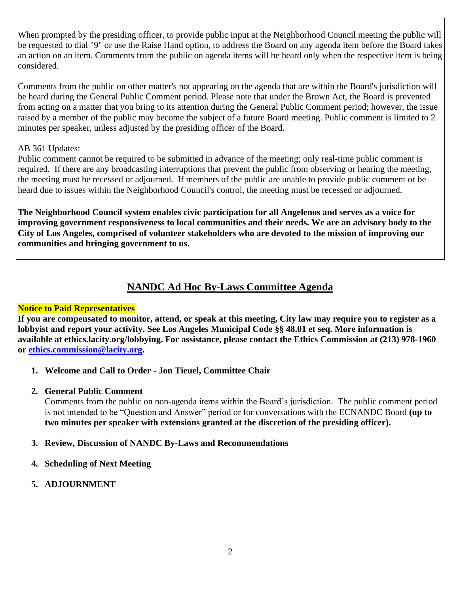When prompted by the presiding officer, to provide public input at the Neighborhood Council meeting the public will be requested to dial "9" or use the Raise Hand option, to address the Board on any agenda item before the Board takes an action on an item. Comments from the public on agenda items will be heard only when the respective item is being considered.

Comments from the public on other matter's not appearing on the agenda that are within the Board's jurisdiction will be heard during the General Public Comment period. Please note that under the Brown Act, the Board is prevented from acting on a matter that you bring to its attention during the General Public Comment period; however, the issue raised by a member of the public may become the subject of a future Board meeting. Public comment is limited to 2 minutes per speaker, unless adjusted by the presiding officer of the Board.

### AB 361 Updates:

Public comment cannot be required to be submitted in advance of the meeting; only real-time public comment is required. If there are any broadcasting interruptions that prevent the public from observing or hearing the meeting, the meeting must be recessed or adjourned. If members of the public are unable to provide public comment or be heard due to issues within the Neighborhood Council's control, the meeting must be recessed or adjourned.

**The Neighborhood Council system enables civic participation for all Angelenos and serves as a voice for improving government responsiveness to local communities and their needs. We are an advisory body to the City of Los Angeles, comprised of volunteer stakeholders who are devoted to the mission of improving our communities and bringing government to us.**

# **NANDC Ad Hoc By-Laws Committee Agenda**

### **Notice to Paid Representatives**

**If you are compensated to monitor, attend, or speak at this meeting, City law may require you to register as a lobbyist and report your activity. See Los Angeles Municipal Code §§ 48.01 et seq. More information is available at ethics.lacity.org/lobbying. For assistance, please contact the Ethics Commission at (213) 978-1960 or [ethics.commission@lacity.org.](mailto:ethics.commission@lacity.org)**

**1. Welcome and Call to Order - Jon Tieuel, Committee Chair**

# **2. General Public Comment**

Comments from the public on non-agenda items within the Board's jurisdiction. The public comment period is not intended to be "Question and Answer" period or for conversations with the ECNANDC Board **(up to two minutes per speaker with extensions granted at the discretion of the presiding officer).**

### **3. Review, Discussion of NANDC By-Laws and Recommendations**

- **4. Scheduling of Next Meeting**
- **5. ADJOURNMENT**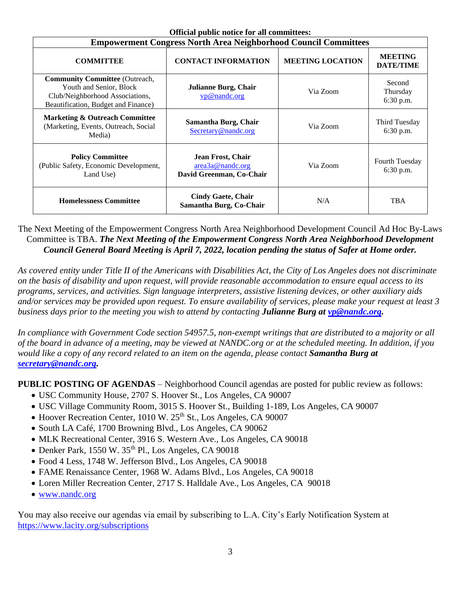| Official public hotice for all committees.<br><b>Empowerment Congress North Area Neighborhood Council Committees</b>                       |                                                                   |                         |                                    |
|--------------------------------------------------------------------------------------------------------------------------------------------|-------------------------------------------------------------------|-------------------------|------------------------------------|
| <b>COMMITTEE</b>                                                                                                                           | <b>CONTACT INFORMATION</b>                                        | <b>MEETING LOCATION</b> | <b>MEETING</b><br><b>DATE/TIME</b> |
| <b>Community Committee</b> (Outreach,<br>Youth and Senior, Block<br>Club/Neighborhood Associations,<br>Beautification, Budget and Finance) | <b>Julianne Burg, Chair</b><br>vp@nandc.org                       | Via Zoom                | Second<br>Thursday<br>6:30 p.m.    |
| <b>Marketing &amp; Outreach Committee</b><br>(Marketing, Events, Outreach, Social<br>Media)                                                | Samantha Burg, Chair<br>Secretary@nandc.org                       | Via Zoom                | Third Tuesday<br>6:30 p.m.         |
| <b>Policy Committee</b><br>(Public Safety, Economic Development,<br>Land Use)                                                              | Jean Frost, Chair<br>area3a@nandc.org<br>David Greenman, Co-Chair | Via Zoom                | Fourth Tuesday<br>6:30 p.m.        |
| <b>Homelessness Committee</b>                                                                                                              | <b>Cindy Gaete, Chair</b><br>Samantha Burg, Co-Chair              | N/A                     | <b>TBA</b>                         |

**Official public notice for all committees:**

The Next Meeting of the Empowerment Congress North Area Neighborhood Development Council Ad Hoc By-Laws Committee is TBA. *The Next Meeting of the Empowerment Congress North Area Neighborhood Development Council General Board Meeting is April 7, 2022, location pending the status of Safer at Home order.* 

*As covered entity under Title II of the Americans with Disabilities Act, the City of Los Angeles does not discriminate on the basis of disability and upon request, will provide reasonable accommodation to ensure equal access to its programs, services, and activities. Sign language interpreters, assistive listening devices, or other auxiliary aids and/or services may be provided upon request. To ensure availability of services, please make your request at least 3 business days prior to the meeting you wish to attend by contacting Julianne Burg at [vp@nandc.org.](mailto:vp@nandc.org)*

*In compliance with Government Code section 54957.5, non-exempt writings that are distributed to a majority or all of the board in advance of a meeting, may be viewed at NANDC.org or at the scheduled meeting. In addition, if you would like a copy of any record related to an item on the agenda, please contact Samantha Burg at [secretary@nandc.org.](mailto:secretary@nandc.org)*

**PUBLIC POSTING OF AGENDAS** – Neighborhood Council agendas are posted for public review as follows:

- USC Community House, 2707 S. Hoover St., Los Angeles, CA 90007
- USC Village Community Room, 3015 S. Hoover St., Building 1-189, Los Angeles, CA 90007
- Hoover Recreation Center, 1010 W. 25<sup>th</sup> St., Los Angeles, CA 90007
- South LA Café, 1700 Browning Blvd., Los Angeles, CA 90062
- MLK Recreational Center, 3916 S. Western Ave., Los Angeles, CA 90018
- $\bullet$  Denker Park, 1550 W. 35<sup>th</sup> Pl., Los Angeles, CA 90018
- Food 4 Less, 1748 W. Jefferson Blvd., Los Angeles, CA 90018
- FAME Renaissance Center, 1968 W. Adams Blvd., Los Angeles, CA 90018
- Loren Miller Recreation Center, 2717 S. Halldale Ave., Los Angeles, CA 90018
- [www.nandc.org](http://www.nandc.org/)

You may also receive our agendas via email by subscribing to L.A. City's Early Notification System at <https://www.lacity.org/subscriptions>